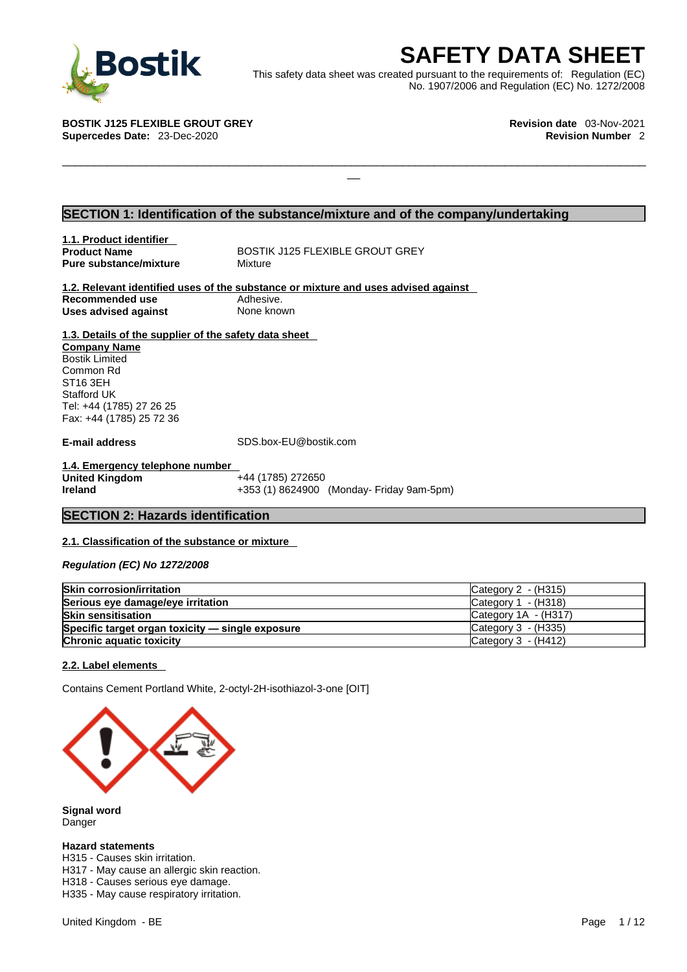

**SAFETY DATA SHEET**<br>
et was created pursuant to the requirements of: Regulation (EC)<br>
No. 1907/2006 and Regulation (EC) No. 1272/2008<br>
Revision date 03-Nov-2021<br>
Revision Number 2 This safety data sheet was created pursuant to the requirements of: Regulation (EC) No. 1907/2006 and Regulation (EC) No. 1272/2008

 $\Box$ 

**BOSTIK J125 FLEXIBLE GROUT GREY Revision date** 03-Nov-2021 **Supercedes Date: 23-Dec-2020** 

## **SECTION 1: Identification of the substance/mixture and of the company/undertaking**

**1.1. Product identifier Pure substance/mixture** 

**Product Name** BOSTIK J125 FLEXIBLE GROUT GREY<br> **Pure substance/mixture** Mixture Mixture

**1.2. Relevant identified uses of the substance or mixture and uses advised against Recommended use** Adhesive.<br> **Uses advised against** None known **Uses** advised against

**1.3. Details of the supplier of the safety data sheet Company Name** Bostik Limited Common Rd ST16 3EH Stafford UK Tel: +44 (1785) 27 26 25

Fax: +44 (1785) 25 72 36

**E-mail address** SDS.box-EU@bostik.com

**1.4. Emergency telephone number United Kingdom**<br>Ireland **Ireland** +353 (1) 8624900 (Monday- Friday 9am-5pm)

#### **SECTION 2: Hazards identification**

#### **2.1. Classification of the substance or mixture**

*Regulation (EC) No 1272/2008* 

| <b>Skin corrosion/irritation</b>                 | Category $2 - (H315)$                    |
|--------------------------------------------------|------------------------------------------|
| Serious eye damage/eye irritation                | Category $1 - (H318)$                    |
| <b>Skin sensitisation</b>                        | Category $1A - (H317)$                   |
| Specific target organ toxicity - single exposure | $\textsf{C}\textup{a}$ tegory 3 - (H335) |
| <b>Chronic aquatic toxicity</b>                  | ICategory 3 - (H412)                     |

#### **2.2. Label elements**

Contains Cement Portland White, 2-octyl-2H-isothiazol-3-one [OIT]



**Signal word** Danger

#### **Hazard statements**

H315 - Causes skin irritation.

H317 - May cause an allergic skin reaction.

H318 - Causes serious eye damage.

H335 - May cause respiratory irritation.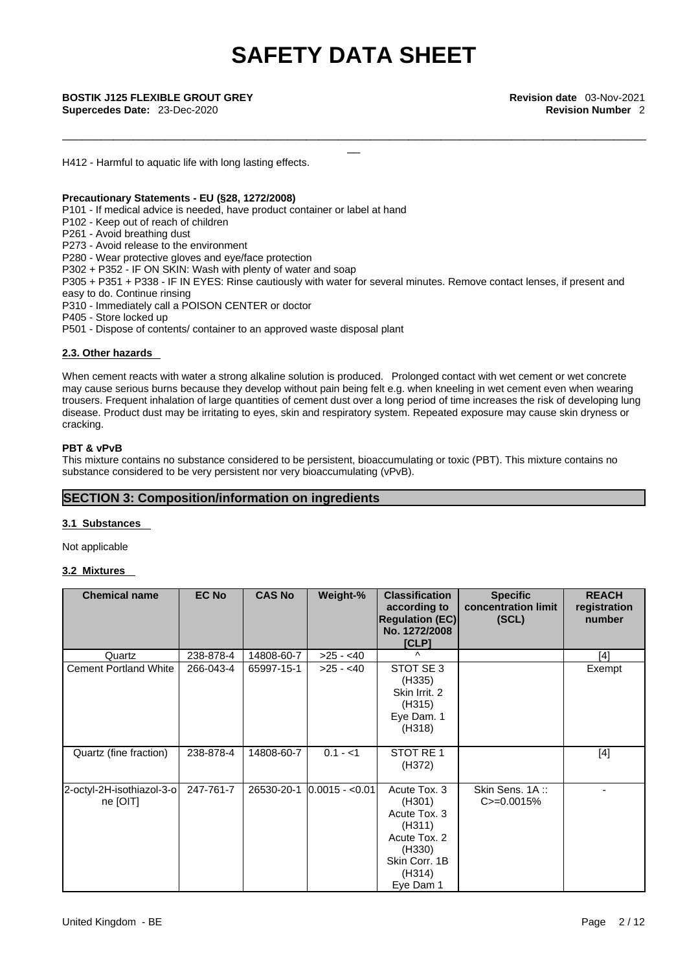\_\_\_\_\_\_\_\_\_\_\_\_\_\_\_\_\_\_\_\_\_\_\_\_\_\_\_\_\_\_\_\_\_\_\_\_\_\_\_\_\_\_\_\_\_\_\_\_\_\_\_\_\_\_\_\_\_\_\_\_\_\_\_\_\_\_\_\_\_\_\_\_\_\_\_\_\_\_\_\_\_\_\_\_\_\_\_\_\_\_\_

\_\_ **BOSTIK J125 FLEXIBLE GROUT GREY Revision date** 03-Nov-2021 **Supercedes Date:** 23-Dec-2020 **Revision Number** 2

H412 - Harmful to aquatic life with long lasting effects.

#### **Precautionary Statements - EU (§28, 1272/2008)**

P101 - If medical advice is needed, have product container or label at hand

P102 - Keep out of reach of children

P261 - Avoid breathing dust

P273 - Avoid release to the environment

P280 - Wear protective gloves and eye/face protection

P302 + P352 - IF ON SKIN: Wash with plenty of water and soap

P305 + P351 + P338 - IF IN EYES: Rinse cautiously with water for several minutes. Remove contact lenses, if present and easy to do. Continue rinsing

- P310 Immediately call a POISON CENTER or doctor
- P405 Store locked up

P501 - Dispose of contents/ container to an approved waste disposal plant

#### **2.3. Other hazards**

When cement reacts with water a strong alkaline solution is produced. Prolonged contact with wet cement or wet concrete may cause serious burns because they develop without pain being felt e.g. when kneeling in wet cement even when wearing trousers. Frequent inhalation of large quantities of cement dust over a long period of time increases the risk of developing lung disease. Product dust may be irritating to eyes, skin and respiratory system. Repeated exposure may cause skin dryness or cracking.

#### **PBT & vPvB**

This mixture contains no substance considered to be persistent, bioaccumulating or toxic (PBT). This mixture contains no substance considered to be very persistent nor very bioaccumulating (vPvB).

### **SECTION 3: Composition/information on ingredients**

#### **3.1 Substances**

Not applicable

#### **3.2 Mixtures**

| <b>Chemical name</b>                  | <b>EC No</b> | <b>CAS No</b> | Weight-%          | <b>Classification</b><br>according to<br><b>Regulation (EC)</b><br>No. 1272/2008<br>[CLP]                          | <b>Specific</b><br>concentration limit<br>(SCL) | <b>REACH</b><br>registration<br>number |
|---------------------------------------|--------------|---------------|-------------------|--------------------------------------------------------------------------------------------------------------------|-------------------------------------------------|----------------------------------------|
| Quartz                                | 238-878-4    | 14808-60-7    | $>25 - 40$        | $\wedge$                                                                                                           |                                                 | [4]                                    |
| <b>Cement Portland White</b>          | 266-043-4    | 65997-15-1    | $>25 - 40$        | STOT SE 3<br>(H335)<br>Skin Irrit. 2<br>(H315)<br>Eye Dam. 1<br>(H318)                                             |                                                 | Exempt                                 |
| Quartz (fine fraction)                | 238-878-4    | 14808-60-7    | $0.1 - 1$         | STOT RE 1<br>(H372)                                                                                                |                                                 | $[4]$                                  |
| 2-octyl-2H-isothiazol-3-o<br>ne [OIT] | 247-761-7    | 26530-20-1    | $ 0.0015 - 0.01 $ | Acute Tox. 3<br>(H301)<br>Acute Tox. 3<br>(H311)<br>Acute Tox. 2<br>(H330)<br>Skin Corr. 1B<br>(H314)<br>Eye Dam 1 | Skin Sens. 1A:<br>$C = 0.0015%$                 |                                        |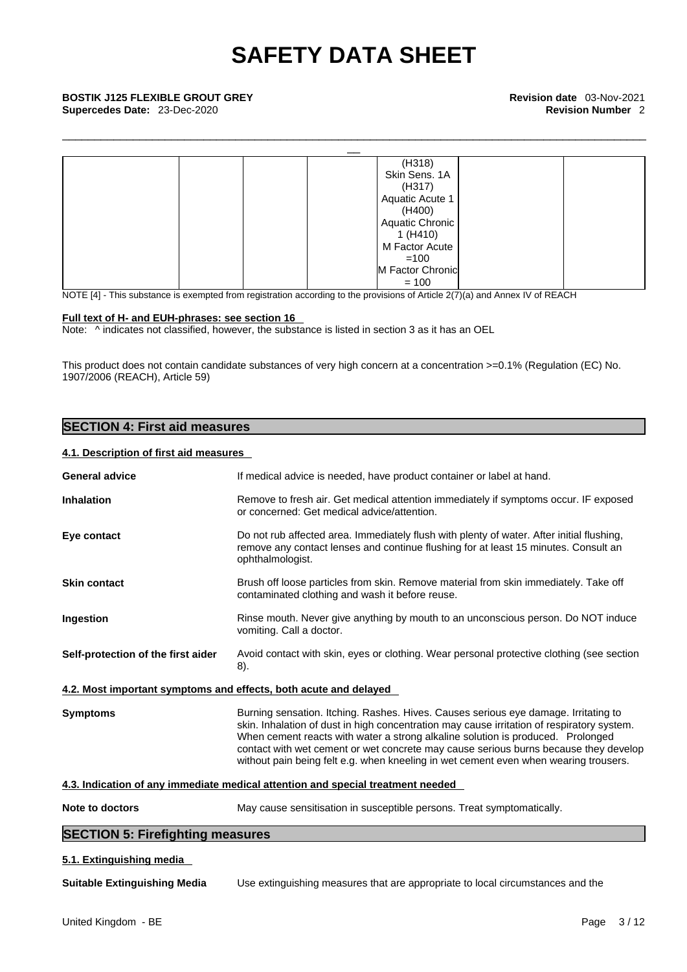\_\_\_\_\_\_\_\_\_\_\_\_\_\_\_\_\_\_\_\_\_\_\_\_\_\_\_\_\_\_\_\_\_\_\_\_\_\_\_\_\_\_\_\_\_\_\_\_\_\_\_\_\_\_\_\_\_\_\_\_\_\_\_\_\_\_\_\_\_\_\_\_\_\_\_\_\_\_\_\_\_\_\_\_\_\_\_\_\_\_\_

| <b>BOSTIK J125 FLEXIBLE GROUT GREY</b><br>Supercedes Date: 23-Dec-2020 |                  | Revision date 03-Nov-2021<br><b>Revision Number 2</b> |
|------------------------------------------------------------------------|------------------|-------------------------------------------------------|
|                                                                        |                  |                                                       |
|                                                                        | (H318)           |                                                       |
|                                                                        | Skin Sens. 1A    |                                                       |
|                                                                        | (H317)           |                                                       |
|                                                                        | Aquatic Acute 1  |                                                       |
|                                                                        | (H400)           |                                                       |
|                                                                        | Aquatic Chronic  |                                                       |
|                                                                        | 1 (H410)         |                                                       |
|                                                                        | M Factor Acute   |                                                       |
|                                                                        | $=100$           |                                                       |
|                                                                        | M Factor Chronic |                                                       |
|                                                                        | $= 100$          |                                                       |

NOTE [4] - This substance is exempted from registration according to the provisions of Article 2(7)(a) and Annex IV of REACH

#### **Full text of H- and EUH-phrases: see section 16**

Note:  $\wedge$  indicates not classified, however, the substance is listed in section 3 as it has an OEL

This product does not contain candidate substances of very high concern at a concentration >=0.1% (Regulation (EC) No. 1907/2006 (REACH), Article 59)

### **SECTION 4: First aid measures**

#### **4.1. Description of first aid measures**

| <b>General advice</b>                                            | If medical advice is needed, have product container or label at hand.                                                                                                                                                                                                                                                                                                                                                                                |
|------------------------------------------------------------------|------------------------------------------------------------------------------------------------------------------------------------------------------------------------------------------------------------------------------------------------------------------------------------------------------------------------------------------------------------------------------------------------------------------------------------------------------|
| <b>Inhalation</b>                                                | Remove to fresh air. Get medical attention immediately if symptoms occur. IF exposed<br>or concerned: Get medical advice/attention.                                                                                                                                                                                                                                                                                                                  |
| Eye contact                                                      | Do not rub affected area. Immediately flush with plenty of water. After initial flushing,<br>remove any contact lenses and continue flushing for at least 15 minutes. Consult an<br>ophthalmologist.                                                                                                                                                                                                                                                 |
| <b>Skin contact</b>                                              | Brush off loose particles from skin. Remove material from skin immediately. Take off<br>contaminated clothing and wash it before reuse.                                                                                                                                                                                                                                                                                                              |
| Ingestion                                                        | Rinse mouth. Never give anything by mouth to an unconscious person. Do NOT induce<br>vomiting. Call a doctor.                                                                                                                                                                                                                                                                                                                                        |
| Self-protection of the first aider                               | Avoid contact with skin, eyes or clothing. Wear personal protective clothing (see section<br>8).                                                                                                                                                                                                                                                                                                                                                     |
| 4.2. Most important symptoms and effects, both acute and delayed |                                                                                                                                                                                                                                                                                                                                                                                                                                                      |
| <b>Symptoms</b>                                                  | Burning sensation. Itching. Rashes. Hives. Causes serious eye damage. Irritating to<br>skin. Inhalation of dust in high concentration may cause irritation of respiratory system.<br>When cement reacts with water a strong alkaline solution is produced. Prolonged<br>contact with wet cement or wet concrete may cause serious burns because they develop<br>without pain being felt e.g. when kneeling in wet cement even when wearing trousers. |
|                                                                  | 4.3. Indication of any immediate medical attention and special treatment needed                                                                                                                                                                                                                                                                                                                                                                      |
| Note to doctors                                                  | May cause sensitisation in susceptible persons. Treat symptomatically.                                                                                                                                                                                                                                                                                                                                                                               |
| <b>SECTION 5: Firefighting measures</b>                          |                                                                                                                                                                                                                                                                                                                                                                                                                                                      |
| 5.1. Extinguishing media                                         |                                                                                                                                                                                                                                                                                                                                                                                                                                                      |
| <b>Suitable Extinguishing Media</b>                              | Use extinguishing measures that are appropriate to local circumstances and the                                                                                                                                                                                                                                                                                                                                                                       |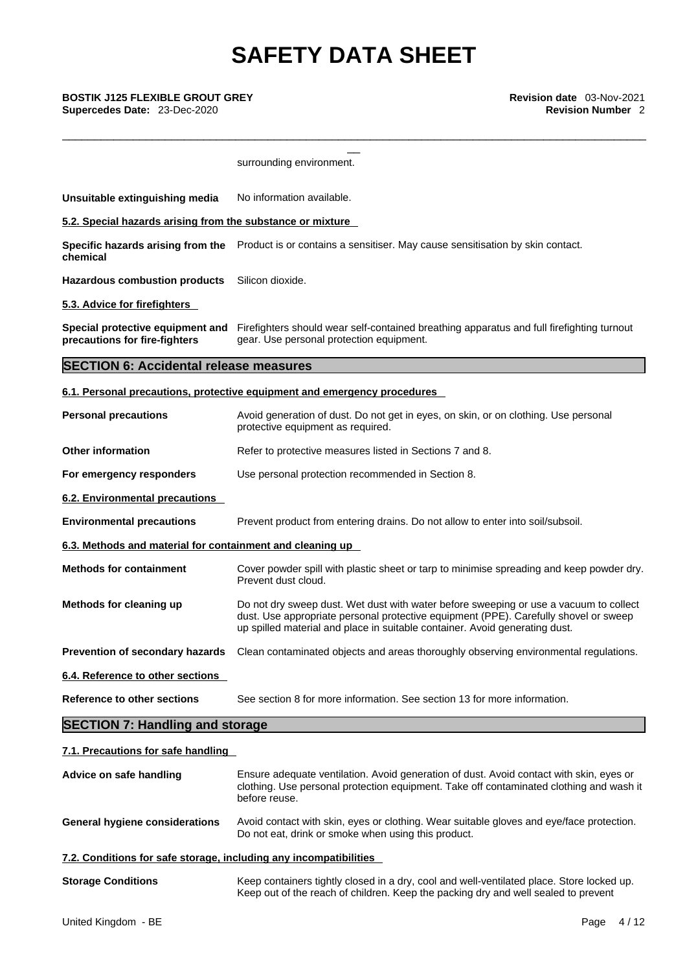**Supercedes Date:** 23-Dec-2020 **Revision Number** 2

| <b>BOSTIK J125 FLEXIBLE GROUT GREY</b><br>Supercedes Date: 23-Dec-2020 | Revision date 03-Nov-2021<br><b>Revision Number 2</b>                                                                                                                                                                                                        |  |
|------------------------------------------------------------------------|--------------------------------------------------------------------------------------------------------------------------------------------------------------------------------------------------------------------------------------------------------------|--|
|                                                                        | surrounding environment.                                                                                                                                                                                                                                     |  |
| Unsuitable extinguishing media                                         | No information available.                                                                                                                                                                                                                                    |  |
| 5.2. Special hazards arising from the substance or mixture             |                                                                                                                                                                                                                                                              |  |
| chemical                                                               | Specific hazards arising from the Product is or contains a sensitiser. May cause sensitisation by skin contact.                                                                                                                                              |  |
| <b>Hazardous combustion products</b>                                   | Silicon dioxide.                                                                                                                                                                                                                                             |  |
| 5.3. Advice for firefighters                                           |                                                                                                                                                                                                                                                              |  |
| precautions for fire-fighters                                          | Special protective equipment and Firefighters should wear self-contained breathing apparatus and full firefighting turnout<br>gear. Use personal protection equipment.                                                                                       |  |
| <b>SECTION 6: Accidental release measures</b>                          |                                                                                                                                                                                                                                                              |  |
|                                                                        | 6.1. Personal precautions, protective equipment and emergency procedures                                                                                                                                                                                     |  |
| <b>Personal precautions</b>                                            | Avoid generation of dust. Do not get in eyes, on skin, or on clothing. Use personal<br>protective equipment as required.                                                                                                                                     |  |
| <b>Other information</b>                                               | Refer to protective measures listed in Sections 7 and 8.                                                                                                                                                                                                     |  |
| For emergency responders                                               | Use personal protection recommended in Section 8.                                                                                                                                                                                                            |  |
| 6.2. Environmental precautions                                         |                                                                                                                                                                                                                                                              |  |
| <b>Environmental precautions</b>                                       | Prevent product from entering drains. Do not allow to enter into soil/subsoil.                                                                                                                                                                               |  |
| 6.3. Methods and material for containment and cleaning up              |                                                                                                                                                                                                                                                              |  |
| <b>Methods for containment</b>                                         | Cover powder spill with plastic sheet or tarp to minimise spreading and keep powder dry.<br>Prevent dust cloud.                                                                                                                                              |  |
| Methods for cleaning up                                                | Do not dry sweep dust. Wet dust with water before sweeping or use a vacuum to collect<br>dust. Use appropriate personal protective equipment (PPE). Carefully shovel or sweep<br>up spilled material and place in suitable container. Avoid generating dust. |  |
| Prevention of secondary hazards                                        | Clean contaminated objects and areas thoroughly observing environmental regulations.                                                                                                                                                                         |  |
| 6.4. Reference to other sections                                       |                                                                                                                                                                                                                                                              |  |
| <b>Reference to other sections</b>                                     | See section 8 for more information. See section 13 for more information.                                                                                                                                                                                     |  |
| <b>SECTION 7: Handling and storage</b>                                 |                                                                                                                                                                                                                                                              |  |
| 7.1. Precautions for safe handling                                     |                                                                                                                                                                                                                                                              |  |
| Advice on safe handling                                                | Ensure adequate ventilation. Avoid generation of dust. Avoid contact with skin, eyes or<br>clothing. Use personal protection equipment. Take off contaminated clothing and wash it<br>before reuse.                                                          |  |
| <b>General hygiene considerations</b>                                  | Avoid contact with skin, eyes or clothing. Wear suitable gloves and eye/face protection.<br>Do not eat, drink or smoke when using this product.                                                                                                              |  |
| 7.2. Conditions for safe storage, including any incompatibilities      |                                                                                                                                                                                                                                                              |  |
| <b>Storage Conditions</b>                                              | Keep containers tightly closed in a dry, cool and well-ventilated place. Store locked up.<br>Keep out of the reach of children. Keep the packing dry and well sealed to prevent                                                                              |  |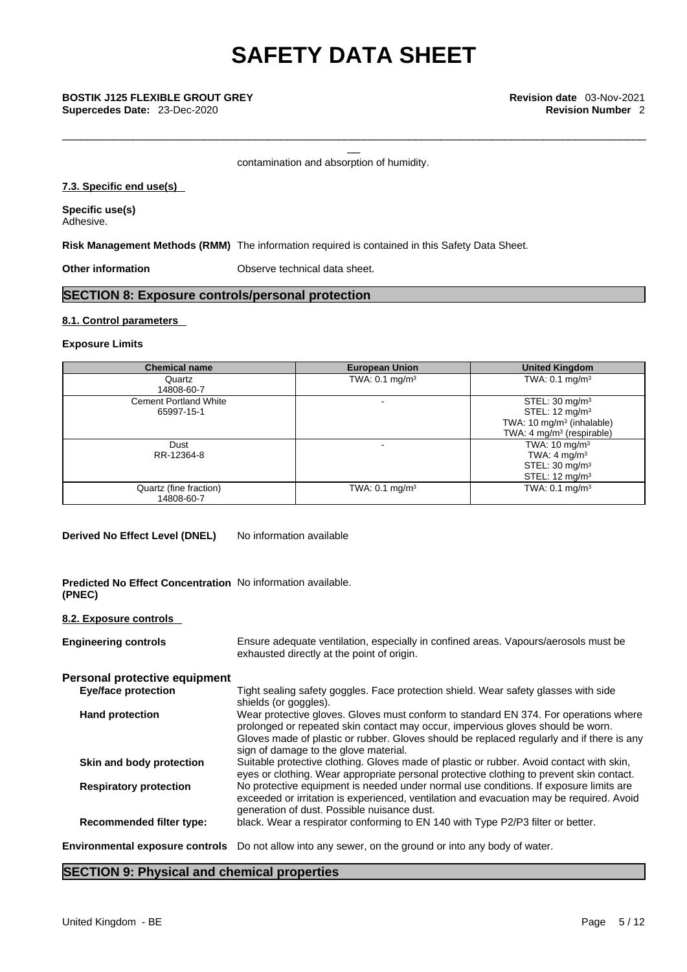\_\_\_\_\_\_\_\_\_\_\_\_\_\_\_\_\_\_\_\_\_\_\_\_\_\_\_\_\_\_\_\_\_\_\_\_\_\_\_\_\_\_\_\_\_\_\_\_\_\_\_\_\_\_\_\_\_\_\_\_\_\_\_\_\_\_\_\_\_\_\_\_\_\_\_\_\_\_\_\_\_\_\_\_\_\_\_\_\_\_\_

contamination and absorption of humidity.

#### **7.3. Specific end use(s)**

**Specific use(s)** Adhesive.

**Risk Management Methods (RMM)** The information required is contained in this Safety Data Sheet.

**Other information Observe technical data sheet.** 

### **SECTION 8: Exposure controls/personal protection**

#### **8.1. Control parameters**

#### **Exposure Limits**

| <b>Chemical name</b>                       | <b>European Union</b>     | <b>United Kingdom</b>                                                                                                                     |
|--------------------------------------------|---------------------------|-------------------------------------------------------------------------------------------------------------------------------------------|
| Quartz<br>14808-60-7                       | TWA: $0.1 \text{ mg/m}^3$ | TWA: $0.1 \text{ mg/m}^3$                                                                                                                 |
| <b>Cement Portland White</b><br>65997-15-1 |                           | STEL: $30 \text{ mg/m}^3$<br>STEL: 12 mg/m <sup>3</sup><br>TWA: 10 mg/m <sup>3</sup> (inhalable)<br>TWA: 4 mg/m <sup>3</sup> (respirable) |
| Dust<br>RR-12364-8                         |                           | TWA: $10 \text{ mg/m}^3$<br>TWA: $4 \text{ mg/m}^3$<br>STEL: $30 \text{ mg/m}^3$<br>STEL: $12 \text{ mg/m}^3$                             |
| Quartz (fine fraction)<br>14808-60-7       | TWA: $0.1 \text{ mg/m}^3$ | TWA: $0.1 \text{ mg/m}^3$                                                                                                                 |

**Derived No Effect Level (DNEL)** No information available

**Predicted No Effect Concentration** No information available. **(PNEC)** 

#### **8.2. Exposure controls**

| <b>Engineering controls</b>            | Ensure adequate ventilation, especially in confined areas. Vapours/aerosols must be<br>exhausted directly at the point of origin.                                                                                                                                                                             |
|----------------------------------------|---------------------------------------------------------------------------------------------------------------------------------------------------------------------------------------------------------------------------------------------------------------------------------------------------------------|
| Personal protective equipment          |                                                                                                                                                                                                                                                                                                               |
| <b>Eye/face protection</b>             | Tight sealing safety goggles. Face protection shield. Wear safety glasses with side<br>shields (or goggles).                                                                                                                                                                                                  |
| <b>Hand protection</b>                 | Wear protective gloves. Gloves must conform to standard EN 374. For operations where<br>prolonged or repeated skin contact may occur, impervious gloves should be worn.<br>Gloves made of plastic or rubber. Gloves should be replaced regularly and if there is any<br>sign of damage to the glove material. |
| Skin and body protection               | Suitable protective clothing. Gloves made of plastic or rubber. Avoid contact with skin,<br>eyes or clothing. Wear appropriate personal protective clothing to prevent skin contact.                                                                                                                          |
| <b>Respiratory protection</b>          | No protective equipment is needed under normal use conditions. If exposure limits are<br>exceeded or irritation is experienced, ventilation and evacuation may be required. Avoid<br>generation of dust. Possible nuisance dust.                                                                              |
| <b>Recommended filter type:</b>        | black. Wear a respirator conforming to EN 140 with Type P2/P3 filter or better.                                                                                                                                                                                                                               |
| <b>Environmental exposure controls</b> | Do not allow into any sewer, on the ground or into any body of water.                                                                                                                                                                                                                                         |
|                                        |                                                                                                                                                                                                                                                                                                               |

### **SECTION 9: Physical and chemical properties**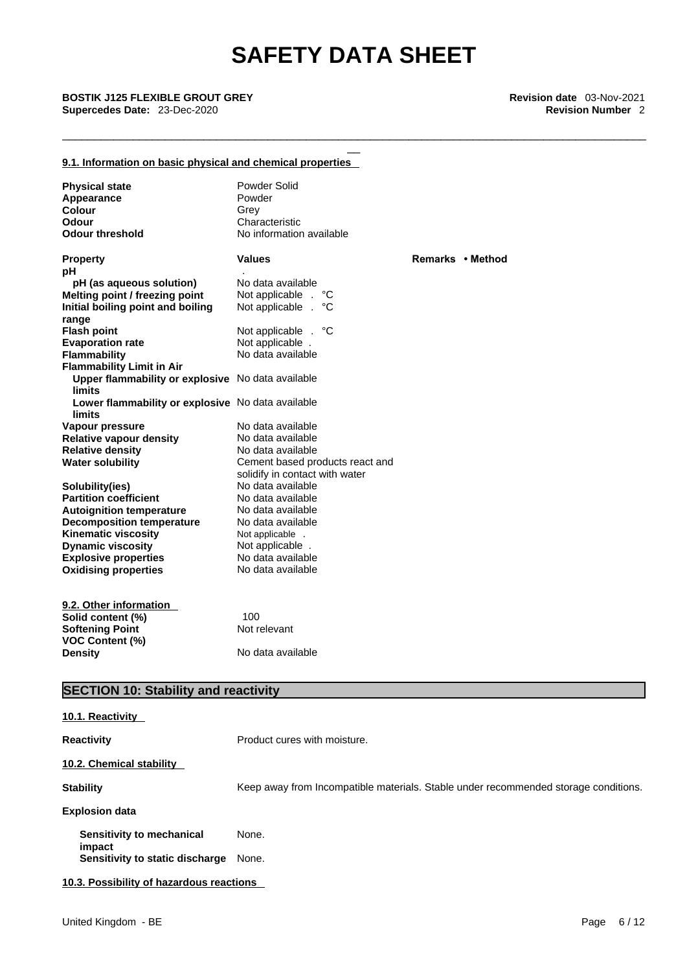\_\_\_\_\_\_\_\_\_\_\_\_\_\_\_\_\_\_\_\_\_\_\_\_\_\_\_\_\_\_\_\_\_\_\_\_\_\_\_\_\_\_\_\_\_\_\_\_\_\_\_\_\_\_\_\_\_\_\_\_\_\_\_\_\_\_\_\_\_\_\_\_\_\_\_\_\_\_\_\_\_\_\_\_\_\_\_\_\_\_\_

### **9.1. Information on basic physical and chemical properties**

| <b>Physical state</b><br>Appearance<br><b>Colour</b><br><b>Odour</b><br><b>Odour threshold</b> | Powder Solid<br>Powder<br>Grey<br>Characteristic<br>No information available |                  |
|------------------------------------------------------------------------------------------------|------------------------------------------------------------------------------|------------------|
| <b>Property</b><br>рH                                                                          | <b>Values</b>                                                                | Remarks • Method |
| pH (as aqueous solution)                                                                       | No data available                                                            |                  |
| Melting point / freezing point                                                                 | Not applicable .<br>°С                                                       |                  |
| Initial boiling point and boiling                                                              | Not applicable .<br>°C                                                       |                  |
| range                                                                                          |                                                                              |                  |
| <b>Flash point</b>                                                                             | Not applicable . °C                                                          |                  |
| <b>Evaporation rate</b>                                                                        | Not applicable.                                                              |                  |
| <b>Flammability</b>                                                                            | No data available                                                            |                  |
| <b>Flammability Limit in Air</b>                                                               |                                                                              |                  |
| Upper flammability or explosive No data available<br><b>limits</b>                             |                                                                              |                  |
| Lower flammability or explosive No data available                                              |                                                                              |                  |
| <b>limits</b>                                                                                  |                                                                              |                  |
| Vapour pressure                                                                                | No data available                                                            |                  |
| <b>Relative vapour density</b>                                                                 | No data available                                                            |                  |
| <b>Relative density</b>                                                                        | No data available                                                            |                  |
| <b>Water solubility</b>                                                                        | Cement based products react and                                              |                  |
|                                                                                                | solidify in contact with water                                               |                  |
| Solubility(ies)                                                                                | No data available                                                            |                  |
| <b>Partition coefficient</b>                                                                   | No data available                                                            |                  |
| <b>Autoignition temperature</b>                                                                | No data available                                                            |                  |
| <b>Decomposition temperature</b>                                                               | No data available                                                            |                  |
| <b>Kinematic viscosity</b><br><b>Dynamic viscosity</b>                                         | Not applicable .                                                             |                  |
| <b>Explosive properties</b>                                                                    | Not applicable.<br>No data available                                         |                  |
| <b>Oxidising properties</b>                                                                    | No data available                                                            |                  |
|                                                                                                |                                                                              |                  |
|                                                                                                |                                                                              |                  |
| 9.2. Other information                                                                         |                                                                              |                  |
| Solid content (%)                                                                              | 100                                                                          |                  |
| <b>Softening Point</b>                                                                         | Not relevant                                                                 |                  |
| <b>VOC Content (%)</b><br><b>Density</b>                                                       | No data available                                                            |                  |

## **SECTION 10: Stability and reactivity**

| 10.1. Reactivity                         |                                                                                     |
|------------------------------------------|-------------------------------------------------------------------------------------|
| <b>Reactivity</b>                        | Product cures with moisture.                                                        |
| 10.2. Chemical stability                 |                                                                                     |
| <b>Stability</b>                         | Keep away from Incompatible materials. Stable under recommended storage conditions. |
| <b>Explosion data</b>                    |                                                                                     |
| Sensitivity to mechanical<br>impact      | None.                                                                               |
| Sensitivity to static discharge          | None.                                                                               |
| 10.3. Possibility of hazardous reactions |                                                                                     |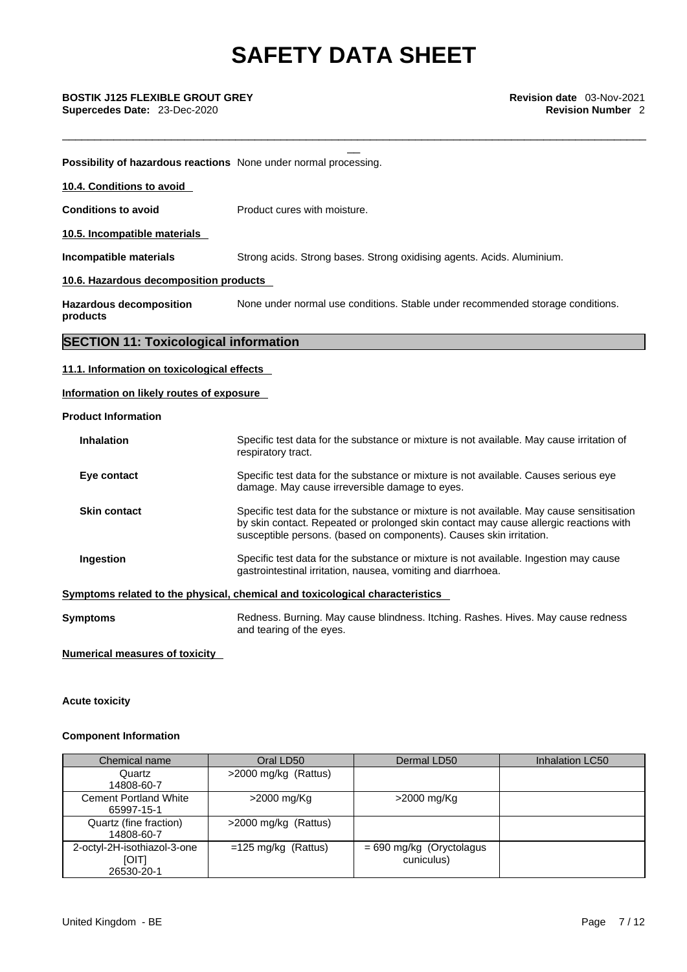\_\_\_\_\_\_\_\_\_\_\_\_\_\_\_\_\_\_\_\_\_\_\_\_\_\_\_\_\_\_\_\_\_\_\_\_\_\_\_\_\_\_\_\_\_\_\_\_\_\_\_\_\_\_\_\_\_\_\_\_\_\_\_\_\_\_\_\_\_\_\_\_\_\_\_\_\_\_\_\_\_\_\_\_\_\_\_\_\_\_\_

\_\_ **BOSTIK J125 FLEXIBLE GROUT GREY Revision date** 03-Nov-2021 **Supercedes Date:** 23-Dec-2020 **Revision Number** 2

**Possibility of hazardous reactions** None under normal processing.

**10.4. Conditions to avoid** 

**Conditions to avoid** Product cures with moisture.

**10.5. Incompatible materials**

**Incompatible materials** Strong acids. Strong bases. Strong oxidising agents. Acids. Aluminium.

#### **10.6. Hazardous decomposition products**

**Hazardous decomposition products**  None under normal use conditions. Stable under recommended storage conditions.

### **SECTION 11: Toxicological information**

#### **11.1. Information on toxicological effects**

### **Information on likely routes of exposure**

#### **Product Information**

| <b>Inhalation</b>   | Specific test data for the substance or mixture is not available. May cause irritation of<br>respiratory tract.                                                                                                                                           |
|---------------------|-----------------------------------------------------------------------------------------------------------------------------------------------------------------------------------------------------------------------------------------------------------|
| Eye contact         | Specific test data for the substance or mixture is not available. Causes serious eye<br>damage. May cause irreversible damage to eyes.                                                                                                                    |
| <b>Skin contact</b> | Specific test data for the substance or mixture is not available. May cause sensitisation<br>by skin contact. Repeated or prolonged skin contact may cause allergic reactions with<br>susceptible persons. (based on components). Causes skin irritation. |
| Ingestion           | Specific test data for the substance or mixture is not available. Ingestion may cause<br>gastrointestinal irritation, nausea, vomiting and diarrhoea.                                                                                                     |
|                     | Symptoms related to the physical, chemical and toxicological characteristics                                                                                                                                                                              |
| Symptoms            | Redness. Burning. May cause blindness. Itching. Rashes. Hives. May cause redness                                                                                                                                                                          |

and tearing of the eyes.

**Numerical measures of toxicity**

#### **Acute toxicity**

#### **Component Information**

| Chemical name                                      | Oral LD50             | Dermal LD50                              | Inhalation LC50 |
|----------------------------------------------------|-----------------------|------------------------------------------|-----------------|
| Quartz                                             | >2000 mg/kg (Rattus)  |                                          |                 |
| 14808-60-7                                         |                       |                                          |                 |
| <b>Cement Portland White</b><br>65997-15-1         | >2000 mg/Kg           | >2000 mg/Kg                              |                 |
| Quartz (fine fraction)<br>14808-60-7               | >2000 mg/kg (Rattus)  |                                          |                 |
| 2-octyl-2H-isothiazol-3-one<br>[OIT]<br>26530-20-1 | $=125$ mg/kg (Rattus) | $= 690$ mg/kg (Oryctolagus<br>cuniculus) |                 |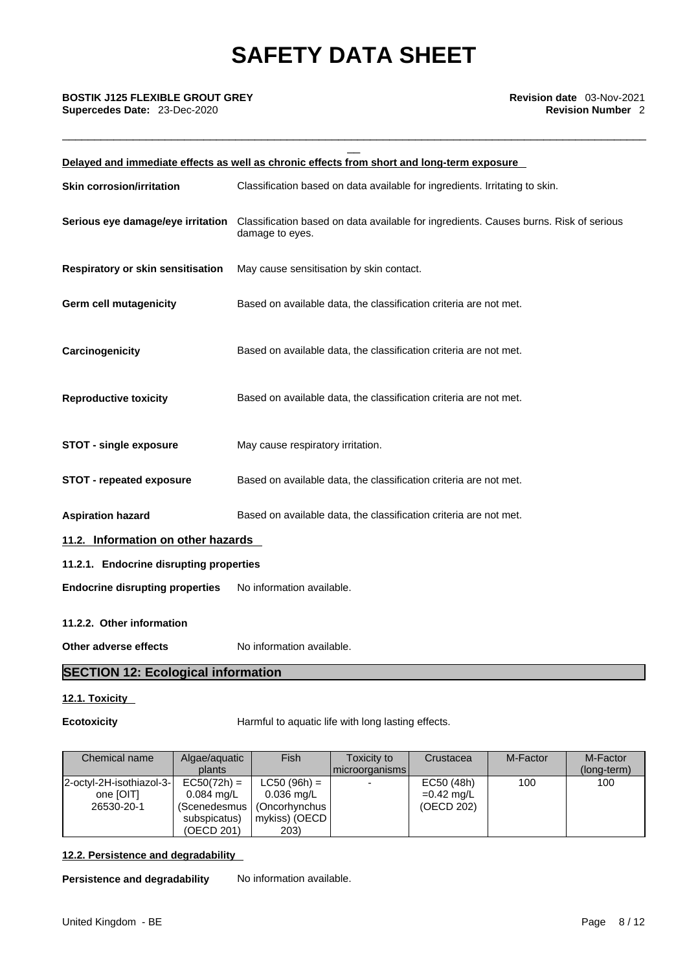\_\_\_\_\_\_\_\_\_\_\_\_\_\_\_\_\_\_\_\_\_\_\_\_\_\_\_\_\_\_\_\_\_\_\_\_\_\_\_\_\_\_\_\_\_\_\_\_\_\_\_\_\_\_\_\_\_\_\_\_\_\_\_\_\_\_\_\_\_\_\_\_\_\_\_\_\_\_\_\_\_\_\_\_\_\_\_\_\_\_\_

|                                           | Delayed and immediate effects as well as chronic effects from short and long-term exposure               |  |
|-------------------------------------------|----------------------------------------------------------------------------------------------------------|--|
| <b>Skin corrosion/irritation</b>          | Classification based on data available for ingredients. Irritating to skin.                              |  |
| Serious eye damage/eye irritation         | Classification based on data available for ingredients. Causes burns. Risk of serious<br>damage to eyes. |  |
| Respiratory or skin sensitisation         | May cause sensitisation by skin contact.                                                                 |  |
| <b>Germ cell mutagenicity</b>             | Based on available data, the classification criteria are not met.                                        |  |
| Carcinogenicity                           | Based on available data, the classification criteria are not met.                                        |  |
| <b>Reproductive toxicity</b>              | Based on available data, the classification criteria are not met.                                        |  |
| <b>STOT - single exposure</b>             | May cause respiratory irritation.                                                                        |  |
| <b>STOT - repeated exposure</b>           | Based on available data, the classification criteria are not met.                                        |  |
| <b>Aspiration hazard</b>                  | Based on available data, the classification criteria are not met.                                        |  |
| 11.2. Information on other hazards        |                                                                                                          |  |
| 11.2.1. Endocrine disrupting properties   |                                                                                                          |  |
| <b>Endocrine disrupting properties</b>    | No information available.                                                                                |  |
| 11.2.2. Other information                 |                                                                                                          |  |
| Other adverse effects                     | No information available.                                                                                |  |
| <b>SECTION 12: Ecological information</b> |                                                                                                          |  |

### **12.1. Toxicity**

**Ecotoxicity** Harmful to aquatic life with long lasting effects.

| Chemical name                                       | Algae/aguatic<br>plants                                     | Fish                                                                                          | Toxicity to<br>microorganisms | Crustacea                                | M-Factor | M-Factor<br>(long-term) |
|-----------------------------------------------------|-------------------------------------------------------------|-----------------------------------------------------------------------------------------------|-------------------------------|------------------------------------------|----------|-------------------------|
| 2-octyl-2H-isothiazol-3-<br>one [OIT]<br>26530-20-1 | $EC50(72h) =$<br>$0.084$ mg/L<br>subspicatus)<br>(OECD 201) | $LC50 (96h) =$<br>$0.036$ mg/L<br>(Scenedesmus   (Oncorhynchus  <br>  mykiss) (OECD  <br>203) |                               | EC50 (48h)<br>$=0.42$ mg/L<br>(OECD 202) | 100      | 100                     |

### **12.2. Persistence and degradability**

**Persistence and degradability** No information available.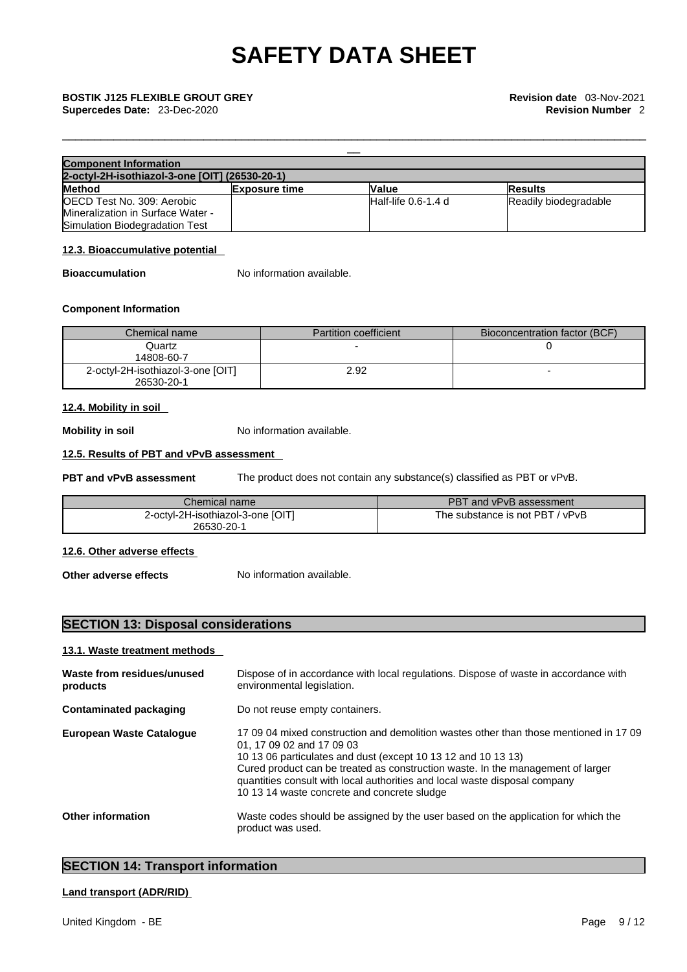**Supercedes Date:** 23-Dec-2020 **Revision Number** 2

| <b>Component Information</b>                   |                      |                        |                       |
|------------------------------------------------|----------------------|------------------------|-----------------------|
| 2-octyl-2H-isothiazol-3-one [OIT] (26530-20-1) |                      |                        |                       |
| <b>Method</b>                                  | <b>Exposure time</b> | <b>Value</b>           | <b>Results</b>        |
| OECD Test No. 309: Aerobic                     |                      | $H$ alf-life 0.6-1.4 d | Readily biodegradable |
| Mineralization in Surface Water -              |                      |                        |                       |
| Simulation Biodegradation Test                 |                      |                        |                       |

\_\_\_\_\_\_\_\_\_\_\_\_\_\_\_\_\_\_\_\_\_\_\_\_\_\_\_\_\_\_\_\_\_\_\_\_\_\_\_\_\_\_\_\_\_\_\_\_\_\_\_\_\_\_\_\_\_\_\_\_\_\_\_\_\_\_\_\_\_\_\_\_\_\_\_\_\_\_\_\_\_\_\_\_\_\_\_\_\_\_\_

#### **12.3. Bioaccumulative potential**

**Bioaccumulation** No information available.

#### **Component Information**

| Chemical name                     | <b>Partition coefficient</b> | Bioconcentration factor (BCF) |
|-----------------------------------|------------------------------|-------------------------------|
| Quartz                            |                              |                               |
| 14808-60-7                        |                              |                               |
| 2-octyl-2H-isothiazol-3-one [OIT] | 2.92                         |                               |
| 26530-20-1                        |                              |                               |

#### **12.4. Mobility in soil**

**Mobility in soil** No information available.

#### **12.5. Results of PBT and vPvB assessment**

**PBT and vPvB assessment** The product does not contain any substance(s) classified as PBT or vPvB.

| Chemical name                     | PBT and vPvB assessment         |
|-----------------------------------|---------------------------------|
| 2-octyl-2H-isothiazol-3-one [OIT] | The substance is not PBT / vPvB |
| 26530-20-1                        |                                 |

### **12.6. Other adverse effects**

**Other adverse effects** No information available.

## **SECTION 13: Disposal considerations**

#### **13.1. Waste treatment methods**

| Waste from residues/unused<br>products | Dispose of in accordance with local regulations. Dispose of waste in accordance with<br>environmental legislation.                                                                                                                                                                                                                                                                                  |
|----------------------------------------|-----------------------------------------------------------------------------------------------------------------------------------------------------------------------------------------------------------------------------------------------------------------------------------------------------------------------------------------------------------------------------------------------------|
| <b>Contaminated packaging</b>          | Do not reuse empty containers.                                                                                                                                                                                                                                                                                                                                                                      |
| <b>European Waste Catalogue</b>        | 17,09,04 mixed construction and demolition wastes other than those mentioned in 17,09<br>01, 17 09 02 and 17 09 03<br>10 13 06 particulates and dust (except 10 13 12 and 10 13 13)<br>Cured product can be treated as construction waste. In the management of larger<br>quantities consult with local authorities and local waste disposal company<br>10 13 14 waste concrete and concrete sludge |
| <b>Other information</b>               | Waste codes should be assigned by the user based on the application for which the<br>product was used.                                                                                                                                                                                                                                                                                              |

## **SECTION 14: Transport information**

### **Land transport (ADR/RID)**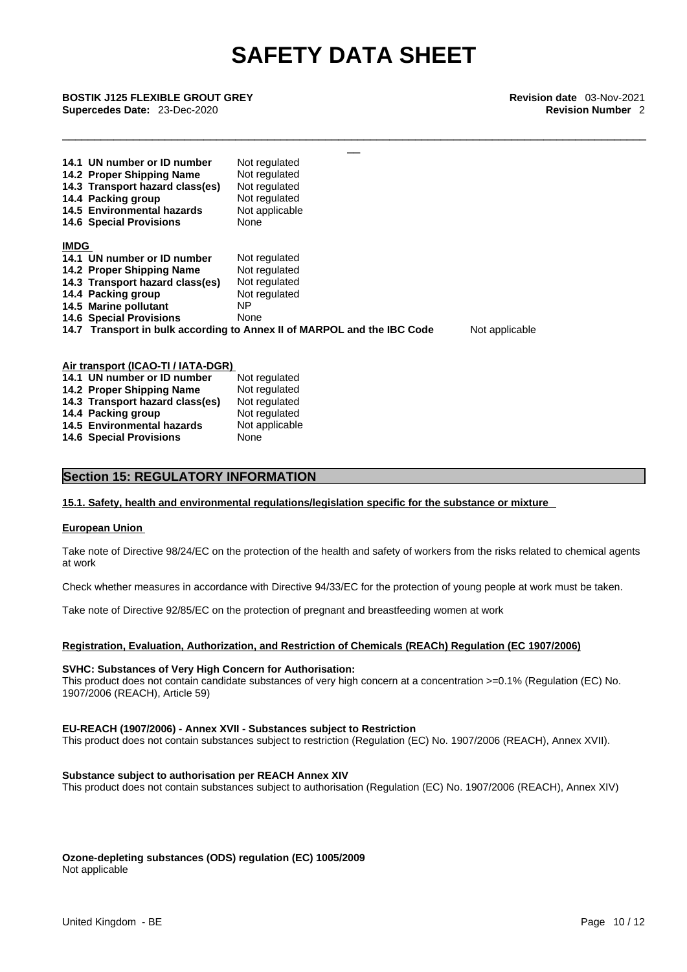\_\_\_\_\_\_\_\_\_\_\_\_\_\_\_\_\_\_\_\_\_\_\_\_\_\_\_\_\_\_\_\_\_\_\_\_\_\_\_\_\_\_\_\_\_\_\_\_\_\_\_\_\_\_\_\_\_\_\_\_\_\_\_\_\_\_\_\_\_\_\_\_\_\_\_\_\_\_\_\_\_\_\_\_\_\_\_\_\_\_\_

\_\_ **BOSTIK J125 FLEXIBLE GROUT GREY Revision date** 03-Nov-2021 **Supercedes Date:** 23-Dec-2020 **Revision Number** 2

|             | 14.1 UN number or ID number<br>14.2 Proper Shipping Name<br>14.3 Transport hazard class(es)<br>14.4 Packing group<br>14.5 Environmental hazards<br><b>14.6 Special Provisions</b> | Not regulated<br>Not regulated<br>Not regulated<br>Not regulated<br>Not applicable<br>None |                |
|-------------|-----------------------------------------------------------------------------------------------------------------------------------------------------------------------------------|--------------------------------------------------------------------------------------------|----------------|
| <b>IMDG</b> |                                                                                                                                                                                   |                                                                                            |                |
|             | 14.1 UN number or ID number                                                                                                                                                       | Not regulated                                                                              |                |
|             | 14.2 Proper Shipping Name                                                                                                                                                         | Not regulated                                                                              |                |
|             | 14.3 Transport hazard class(es)                                                                                                                                                   | Not regulated                                                                              |                |
|             | 14.4 Packing group                                                                                                                                                                | Not regulated                                                                              |                |
|             | 14.5 Marine pollutant                                                                                                                                                             | NΡ                                                                                         |                |
|             | <b>14.6 Special Provisions</b>                                                                                                                                                    | None                                                                                       |                |
|             |                                                                                                                                                                                   | 14.7 Transport in bulk according to Annex II of MARPOL and the IBC Code                    | Not applicable |

| Air transport (ICAO-TI / IATA-DGR) |                                 |                |  |
|------------------------------------|---------------------------------|----------------|--|
|                                    | 14.1 UN number or ID number     | Not regulated  |  |
|                                    | 14.2 Proper Shipping Name       | Not regulated  |  |
|                                    | 14.3 Transport hazard class(es) | Not regulated  |  |
|                                    | 14.4 Packing group              | Not regulated  |  |
|                                    | 14.5 Environmental hazards      | Not applicable |  |
|                                    | <b>14.6 Special Provisions</b>  | None           |  |

#### **Section 15: REGULATORY INFORMATION**

#### **15.1. Safety, health and environmental regulations/legislation specific for the substance or mixture**

#### **European Union**

Take note of Directive 98/24/EC on the protection of the health and safety of workers from the risks related to chemical agents at work

Check whether measures in accordance with Directive 94/33/EC for the protection of young people at work must be taken.

Take note of Directive 92/85/EC on the protection of pregnant and breastfeeding women at work

#### **Registration, Evaluation, Authorization, and Restriction of Chemicals (REACh) Regulation (EC 1907/2006)**

#### **SVHC: Substances of Very High Concern for Authorisation:**

This product does not contain candidate substances of very high concern at a concentration >=0.1% (Regulation (EC) No. 1907/2006 (REACH), Article 59)

#### **EU-REACH (1907/2006) - Annex XVII - Substances subject to Restriction**

This product does not contain substances subject to restriction (Regulation (EC) No. 1907/2006 (REACH), Annex XVII).

#### **Substance subject to authorisation per REACH Annex XIV**

This product does not contain substances subject to authorisation (Regulation (EC) No. 1907/2006 (REACH), Annex XIV)

**Ozone-depleting substances (ODS) regulation (EC) 1005/2009**

Not applicable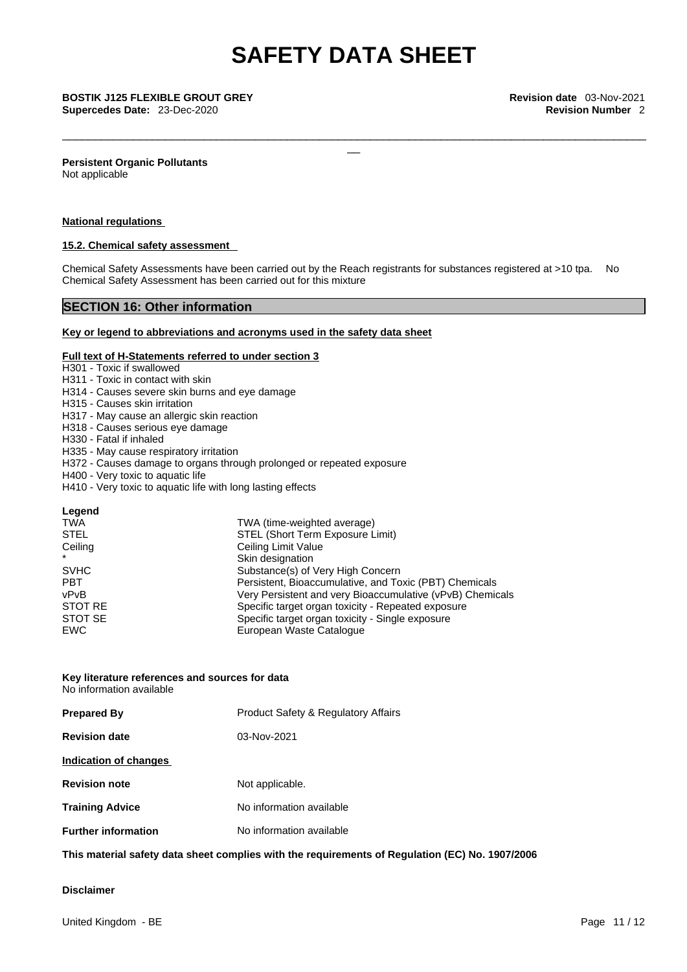\_\_\_\_\_\_\_\_\_\_\_\_\_\_\_\_\_\_\_\_\_\_\_\_\_\_\_\_\_\_\_\_\_\_\_\_\_\_\_\_\_\_\_\_\_\_\_\_\_\_\_\_\_\_\_\_\_\_\_\_\_\_\_\_\_\_\_\_\_\_\_\_\_\_\_\_\_\_\_\_\_\_\_\_\_\_\_\_\_\_\_

\_\_ **BOSTIK J125 FLEXIBLE GROUT GREY Revision date** 03-Nov-2021

**Persistent Organic Pollutants** Not applicable

#### **National regulations**

#### **15.2. Chemical safety assessment**

Chemical Safety Assessments have been carried out by the Reach registrants for substances registered at >10 tpa. No Chemical Safety Assessment has been carried out for this mixture

### **SECTION 16: Other information**

#### **Key or legend to abbreviations and acronyms used in the safety data sheet**

#### **Full text of H-Statements referred to under section 3**

#### H301 - Toxic if swallowed

- H311 Toxic in contact with skin
- H314 Causes severe skin burns and eye damage
- H315 Causes skin irritation
- H317 May cause an allergic skin reaction
- H318 Causes serious eye damage
- H330 Fatal if inhaled
- H335 May cause respiratory irritation
- H372 Causes damage to organs through prolonged or repeated exposure
- H400 Very toxic to aquatic life
- H410 Very toxic to aquatic life with long lasting effects

| <b>TWA</b>  | TWA (time-weighted average)                               |
|-------------|-----------------------------------------------------------|
| <b>STEL</b> | STEL (Short Term Exposure Limit)                          |
| Ceiling     | Ceiling Limit Value                                       |
| $\star$     | Skin designation                                          |
| <b>SVHC</b> | Substance(s) of Very High Concern                         |
| <b>PBT</b>  | Persistent, Bioaccumulative, and Toxic (PBT) Chemicals    |
| vPvB        | Very Persistent and very Bioaccumulative (vPvB) Chemicals |
| STOT RE     | Specific target organ toxicity - Repeated exposure        |
| STOT SE     | Specific target organ toxicity - Single exposure          |
| <b>EWC</b>  | European Waste Catalogue                                  |
|             |                                                           |

## **Key literature references and sources for data**

No information available

| <b>Product Safety &amp; Regulatory Affairs</b> |
|------------------------------------------------|
| $03-Nov-2021$                                  |
|                                                |
| Not applicable.                                |
| No information available                       |
| No information available                       |
|                                                |

**This material safety data sheet complies with the requirements of Regulation (EC) No. 1907/2006**

#### **Disclaimer**